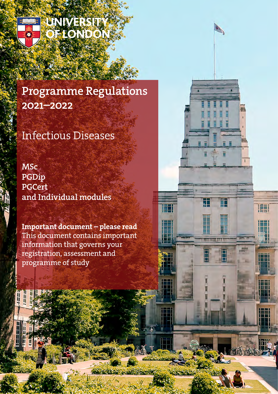

H

UNIVERSIT **FLONDON** 

# Programme Regulations 2021–2022

# Infectious Diseases

**MSc** PGDip PGCert and Individual modules

Important document – please read This document contains important information that governs your registration, assessment and programme of study

中

田

Τ

H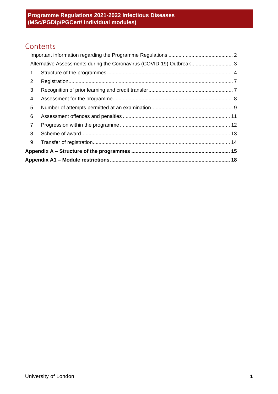## Contents

|                | Alternative Assessments during the Coronavirus (COVID-19) Outbreak 3 |  |  |
|----------------|----------------------------------------------------------------------|--|--|
| 1              |                                                                      |  |  |
| $\overline{2}$ |                                                                      |  |  |
| 3              |                                                                      |  |  |
| 4              |                                                                      |  |  |
| 5              |                                                                      |  |  |
| 6              |                                                                      |  |  |
| $\overline{7}$ |                                                                      |  |  |
| 8              |                                                                      |  |  |
| 9              |                                                                      |  |  |
|                |                                                                      |  |  |
|                |                                                                      |  |  |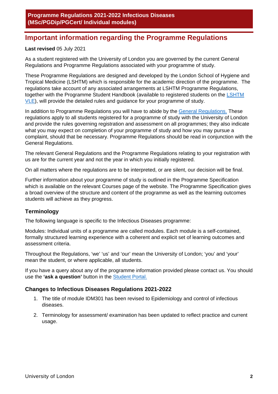## <span id="page-2-0"></span>**Important information regarding the Programme Regulations**

## **Last revised** 05 July 2021

As a student registered with the University of London you are governed by the current General Regulations and Programme Regulations associated with your programme of study.

These Programme Regulations are designed and developed by the London School of Hygiene and Tropical Medicine (LSHTM) which is responsible for the academic direction of the programme. The regulations take account of any associated arrangements at LSHTM Programme Regulations, together with the Programme Student Handbook (available to registered students on the [LSHTM](https://ble.lshtm.ac.uk/)  [VLE\)](https://ble.lshtm.ac.uk/), will provide the detailed rules and guidance for your programme of study.

In addition to Programme Regulations you will have to abide by the [General Regulations.](http://www.london.ac.uk/regs) These regulations apply to all students registered for a programme of study with the University of London and provide the rules governing registration and assessment on all programmes; they also indicate what you may expect on completion of your programme of study and how you may pursue a complaint, should that be necessary. Programme Regulations should be read in conjunction with the General Regulations.

The relevant General Regulations and the Programme Regulations relating to your registration with us are for the current year and not the year in which you initially registered.

On all matters where the regulations are to be interpreted, or are silent, our decision will be final.

Further information about your programme of study is outlined in the Programme Specification which is available on the relevant Courses page of the website. The Programme Specification gives a broad overview of the structure and content of the programme as well as the learning outcomes students will achieve as they progress.

## **Terminology**

The following language is specific to the Infectious Diseases programme:

Modules: Individual units of a programme are called modules. Each module is a self-contained, formally structured learning experience with a coherent and explicit set of learning outcomes and assessment criteria.

Throughout the Regulations, 'we' 'us' and 'our' mean the University of London; 'you' and 'your' mean the student, or where applicable, all students.

If you have a query about any of the programme information provided please contact us. You should use the **'ask a question'** button in the [Student Portal.](https://my.london.ac.uk/)

## **Changes to Infectious Diseases Regulations 2021-2022**

- 1. The title of module IDM301 has been revised to Epidemiology and control of infectious diseases.
- 2. Terminology for assessment/ examination has been updated to reflect practice and current usage.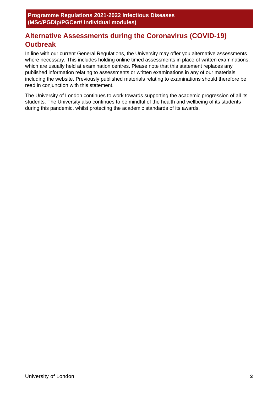## <span id="page-3-0"></span>**Alternative Assessments during the Coronavirus (COVID-19) Outbreak**

In line with our current General Regulations, the University may offer you alternative assessments where necessary. This includes holding online timed assessments in place of written examinations, which are usually held at examination centres. Please note that this statement replaces any published information relating to assessments or written examinations in any of our materials including the website. Previously published materials relating to examinations should therefore be read in conjunction with this statement.

The University of London continues to work towards supporting the academic progression of all its students. The University also continues to be mindful of the health and wellbeing of its students during this pandemic, whilst protecting the academic standards of its awards.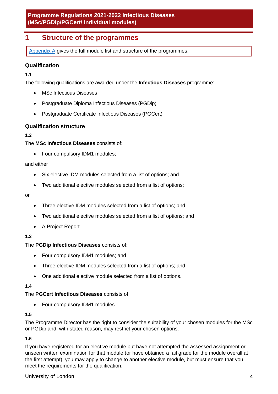## <span id="page-4-0"></span>**1 Structure of the programmes**

[Appendix A](#page-15-0) gives the full module list and structure of the programmes.

## **Qualification**

**1.1**

The following qualifications are awarded under the **Infectious Diseases** programme:

- MSc Infectious Diseases
- Postgraduate Diploma Infectious Diseases (PGDip)
- Postgraduate Certificate Infectious Diseases (PGCert)

## **Qualification structure**

## **1.2**

The **MSc Infectious Diseases** consists of:

• Four compulsory IDM1 modules;

#### and either

- Six elective IDM modules selected from a list of options; and
- Two additional elective modules selected from a list of options;

#### or

- Three elective IDM modules selected from a list of options; and
- Two additional elective modules selected from a list of options; and
- A Project Report.

## **1.3**

The **PGDip Infectious Diseases** consists of:

- Four compulsory IDM1 modules; and
- Three elective IDM modules selected from a list of options; and
- One additional elective module selected from a list of options.

## **1.4**

The **PGCert Infectious Diseases** consists of:

• Four compulsory IDM1 modules.

## **1.5**

The Programme Director has the right to consider the suitability of your chosen modules for the MSc or PGDip and, with stated reason, may restrict your chosen options.

## **1.6**

If you have registered for an elective module but have not attempted the assessed assignment or unseen written examination for that module (or have obtained a fail grade for the module overall at the first attempt), you may apply to change to another elective module, but must ensure that you meet the requirements for the qualification.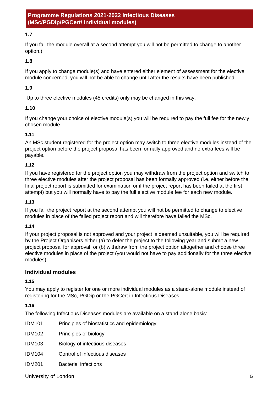## **1.7**

If you fail the module overall at a second attempt you will not be permitted to change to another option.)

**1.8**

If you apply to change module(s) and have entered either element of assessment for the elective module concerned, you will not be able to change until after the results have been published.

## **1.9**

Up to three elective modules (45 credits) only may be changed in this way.

#### **1.10**

If you change your choice of elective module(s) you will be required to pay the full fee for the newly chosen module.

#### **1.11**

An MSc student registered for the project option may switch to three elective modules instead of the project option before the project proposal has been formally approved and no extra fees will be payable.

#### **1.12**

If you have registered for the project option you may withdraw from the project option and switch to three elective modules after the project proposal has been formally approved (i.e. either before the final project report is submitted for examination or if the project report has been failed at the first attempt) but you will normally have to pay the full elective module fee for each new module.

#### **1.13**

If you fail the project report at the second attempt you will not be permitted to change to elective modules in place of the failed project report and will therefore have failed the MSc.

#### **1.14**

If your project proposal is not approved and your project is deemed unsuitable, you will be required by the Project Organisers either (a) to defer the project to the following year and submit a new project proposal for approval; or (b) withdraw from the project option altogether and choose three elective modules in place of the project (you would not have to pay additionally for the three elective modules).

## **Individual modules**

## **1.15**

You may apply to register for one or more individual modules as a stand-alone module instead of registering for the MSc, PGDip or the PGCert in Infectious Diseases.

#### **1.16**

The following Infectious Diseases modules are available on a stand-alone basis:

| IDM <sub>101</sub> | Principles of biostatistics and epidemiology |
|--------------------|----------------------------------------------|
| IDM <sub>102</sub> | Principles of biology                        |
| IDM <sub>103</sub> | Biology of infectious diseases               |
| <b>IDM104</b>      | Control of infectious diseases               |
| <b>IDM201</b>      | <b>Bacterial infections</b>                  |

University of London **5**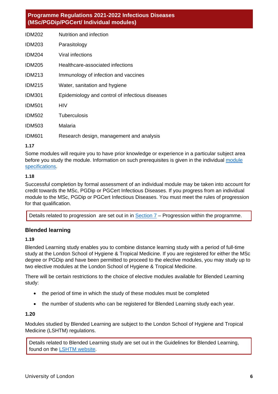| Nutrition and infection                         |
|-------------------------------------------------|
| Parasitology                                    |
| Viral infections                                |
| Healthcare-associated infections                |
| Immunology of infection and vaccines            |
| Water, sanitation and hygiene                   |
| Epidemiology and control of infectious diseases |
| HIV                                             |
| Tuberculosis                                    |
| Malaria                                         |
| Research design, management and analysis        |
|                                                 |

## **1.17**

Some modules will require you to have prior knowledge or experience in a particular subject area before you study the module. Information on such prerequisites is given in the individual module [specifications.](https://www.lshtm.ac.uk/study/courses/short-courses/modules-dl#modules)

#### **1.18**

Successful completion by formal assessment of an individual module may be taken into account for credit towards the MSc, PGDip or PGCert Infectious Diseases. If you progress from an individual module to the MSc, PGDip or PGCert Infectious Diseases. You must meet the rules of progression for that qualification.

Details related to progression are set out in in  $Section 7 -$  Progression within the programme.

## **Blended learning**

#### **1.19**

Blended Learning study enables you to combine distance learning study with a period of full-time study at the London School of Hygiene & Tropical Medicine. If you are registered for either the MSc degree or PGDip and have been permitted to proceed to the elective modules, you may study up to two elective modules at the London School of Hygiene & Tropical Medicine.

There will be certain restrictions to the choice of elective modules available for Blended Learning study:

- the period of time in which the study of these modules must be completed
- the number of students who can be registered for Blended Learning study each year.

#### **1.20**

Modules studied by Blended Learning are subject to the London School of Hygiene and Tropical Medicine (LSHTM) regulations.

<span id="page-6-0"></span>Details related to Blended Learning study are set out in the [Guidelines for Blended Learning,](https://www.lshtm.ac.uk/study/masters/mscid_bl.pdf) found on the [LSHTM website.](https://www.lshtm.ac.uk/study/courses/infectious-diseases-online#how-you-study)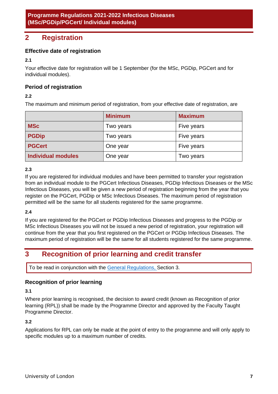## **2 Registration**

## **Effective date of registration**

**2.1**

Your effective date for registration will be 1 September (for the MSc, PGDip, PGCert and for individual modules).

## **Period of registration**

## **2.2**

The maximum and minimum period of registration, from your effective date of registration, are

|                    | <b>Minimum</b> | <b>Maximum</b> |
|--------------------|----------------|----------------|
| <b>MSc</b>         | Two years      | Five years     |
| <b>PGDip</b>       | Two years      | Five years     |
| <b>PGCert</b>      | One year       | Five years     |
| Individual modules | One year       | Two years      |

## **2.3**

If you are registered for individual modules and have been permitted to transfer your registration from an individual module to the PGCert Infectious Diseases, PGDip Infectious Diseases or the MSc Infectious Diseases, you will be given a new period of registration beginning from the year that you register on the PGCert, PGDip or MSc Infectious Diseases. The maximum period of registration permitted will be the same for all students registered for the same programme.

## **2.4**

If you are registered for the PGCert or PGDip Infectious Diseases and progress to the PGDip or MSc Infectious Diseases you will not be issued a new period of registration, your registration will continue from the year that you first registered on the PGCert or PGDip Infectious Diseases. The maximum period of registration will be the same for all students registered for the same programme.

## <span id="page-7-0"></span>**3 Recognition of prior learning and credit transfer**

To be read in conjunction with the [General Regulations, S](https://london.ac.uk/regs)ection 3.

## **Recognition of prior learning**

#### **3.1**

Where prior learning is recognised, the decision to award credit (known as Recognition of prior learning (RPL)) shall be made by the Programme Director and approved by the Faculty Taught Programme Director.

## **3.2**

Applications for RPL can only be made at the point of entry to the programme and will only apply to specific modules up to a maximum number of credits.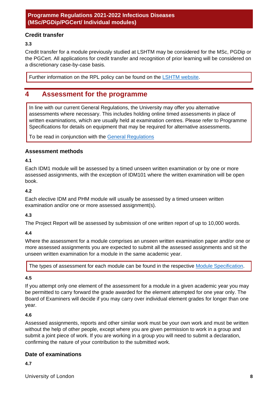## **Credit transfer**

**3.3**

Credit transfer for a module previously studied at LSHTM may be considered for the MSc, PGDip or the PGCert. All applications for credit transfer and recognition of prior learning will be considered on a discretionary case-by-case basis.

Further information on the RPL policy can be found on the [LSHTM website.](https://www.lshtm.ac.uk/sites/default/files/Recognition-of-Prior-Learning-Policy.pdf)

## <span id="page-8-0"></span>**4 Assessment for the programme**

In line with our current General Regulations, the University may offer you alternative assessments where necessary. This includes holding online timed assessments in place of written examinations, which are usually held at examination centres. Please refer to Programme Specifications for details on equipment that may be required for alternative assessments.

To be read in conjunction with the [General Regulations](http://www.londoninternational.ac.uk/community-support-resources/current-students/programme-specifications-regulations/general-regulations-programme-regulations-prog)

## **Assessment methods**

**4.1**

Each IDM1 module will be assessed by a timed unseen written examination or by one or more assessed assignments, with the exception of IDM101 where the written examination will be open book.

#### **4.2**

Each elective IDM and PHM module will usually be assessed by a timed unseen written examination and/or one or more assessed assignment(s).

## **4.3**

The Project Report will be assessed by submission of one written report of up to 10,000 words.

## **4.4**

Where the assessment for a module comprises an unseen written examination paper and/or one or more assessed assignments you are expected to submit all the assessed assignments and sit the unseen written examination for a module in the same academic year.

The types of assessment for each module can be found in the respective [Module Specification.](https://www.lshtm.ac.uk/study/courses/short-courses/modules-dl#modules)

#### **4.5**

If you attempt only one element of the assessment for a module in a given academic year you may be permitted to carry forward the grade awarded for the element attempted for one year only. The Board of Examiners will decide if you may carry over individual element grades for longer than one year.

#### **4.6**

Assessed assignments, reports and other similar work must be your own work and must be written without the help of other people, except where you are given permission to work in a group and submit a joint piece of work. If you are working in a group you will need to submit a declaration, confirming the nature of your contribution to the submitted work.

## **Date of examinations**

**4.7**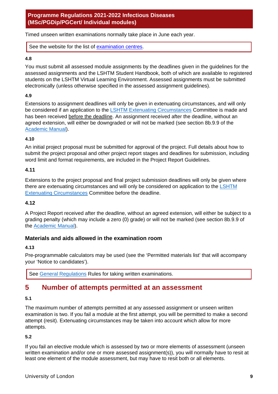Timed unseen written examinations normally take place in June each year.

See the website for the list of [examination centres.](https://london.ac.uk/current-students/examinations/examination-centres)

#### **4.8**

You must submit all assessed module assignments by the deadlines given in the guidelines for the assessed assignments and the LSHTM Student Handbook, both of which are available to registered students on the LSHTM Virtual Learning Environment. Assessed assignments must be submitted electronically (unless otherwise specified in the assessed assignment guidelines).

## **4.9**

Extensions to assignment deadlines will only be given in extenuating circumstances, and will only be considered if an application to the [LSHTM Extenuating Circumstances](https://www.lshtm.ac.uk/study/new-students/starting-your-course-london/regulations-policies-and-procedures) Committee is made and has been received before the deadline. An assignment received after the deadline, without an agreed extension, will either be downgraded or will not be marked (see section 8b.9.9 of the [Academic Manual\)](https://www.lshtm.ac.uk/aboutus/organisation/academic-quality-and-standards/academic-regulations).

#### **4.10**

An initial project proposal must be submitted for approval of the project. Full details about how to submit the project proposal and other project report stages and deadlines for submission, including word limit and format requirements, are included in the Project Report Guidelines.

#### **4.11**

Extensions to the project proposal and final project submission deadlines will only be given where there are extenuating circumstances and will only be considered on application to the LSHTM [Extenuating Circumstances](https://www.lshtm.ac.uk/study/new-students/starting-your-course-london/regulations-policies-and-procedures) Committee before the deadline.

#### **4.12**

A Project Report received after the deadline, without an agreed extension, will either be subject to a grading penalty (which may include a zero (0) grade) or will not be marked (see section 8b.9.9 of the [Academic Manual\)](https://www.lshtm.ac.uk/aboutus/organisation/academic-quality-and-standards/academic-regulations).

## **Materials and aids allowed in the examination room**

## **4.13**

Pre-programmable calculators may be used (see the 'Permitted materials list' that will accompany your 'Notice to candidates').

See [General Regulations](http://www.londoninternational.ac.uk/community-support-resources/current-students/programme-specifications-regulations/general-regulations-programme-regulations-prog) Rules for taking written examinations.

## <span id="page-9-0"></span>**5 Number of attempts permitted at an assessment**

## **5.1**

The maximum number of attempts permitted at any assessed assignment or unseen written examination is two. If you fail a module at the first attempt, you will be permitted to make a second attempt (resit). Extenuating circumstances may be taken into account which allow for more attempts.

## **5.2**

If you fail an elective module which is assessed by two or more elements of assessment (unseen written examination and/or one or more assessed assignment(s)), you will normally have to resit at least one element of the module assessment, but may have to resit both or all elements.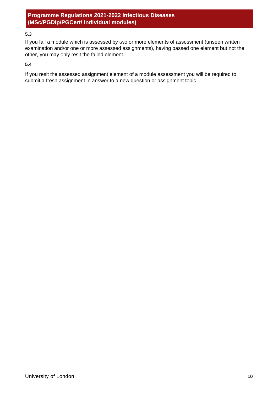## **5.3**

If you fail a module which is assessed by two or more elements of assessment (unseen written examination and/or one or more assessed assignments), having passed one element but not the other, you may only resit the failed element.

#### **5.4**

If you resit the assessed assignment element of a module assessment you will be required to submit a fresh assignment in answer to a new question or assignment topic.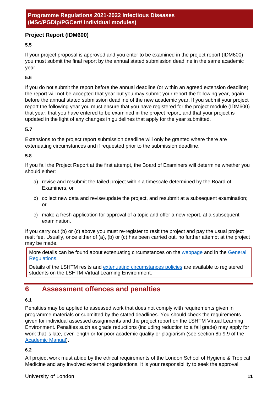## **Project Report (IDM600)**

## **5.5**

If your project proposal is approved and you enter to be examined in the project report (IDM600) you must submit the final report by the annual stated submission deadline in the same academic year.

#### **5.6**

If you do not submit the report before the annual deadline (or within an agreed extension deadline) the report will not be accepted that year but you may submit your report the following year, again before the annual stated submission deadline of the new academic year. If you submit your project report the following year you must ensure that you have registered for the project module (IDM600) that year, that you have entered to be examined in the project report, and that your project is updated in the light of any changes in guidelines that apply for the year submitted.

#### **5.7**

Extensions to the project report submission deadline will only be granted where there are extenuating circumstances and if requested prior to the submission deadline.

#### **5.8**

If you fail the Project Report at the first attempt, the Board of Examiners will determine whether you should either:

- a) revise and resubmit the failed project within a timescale determined by the Board of Examiners, or
- b) collect new data and revise/update the project, and resubmit at a subsequent examination; or
- c) make a fresh application for approval of a topic and offer a new report, at a subsequent examination.

If you carry out (b) or (c) above you must re-register to resit the project and pay the usual project resit fee. Usually, once either of (a), (b) or (c) has been carried out, no further attempt at the project may be made.

More details can be found about extenuating circumstances on the [webpage](https://london.ac.uk/current-students/examinations/submitting-evidence-mitigating-circumstances) and in the General [Regulations.](https://london.ac.uk/current-studentsprogramme-documents/regulations)

Details of the LSHTM resits and [extenuating circumstances policies](https://www.lshtm.ac.uk/study/new-students/starting-your-course-london/regulations-policies-and-procedures) are available to registered students on the LSHTM Virtual Learning Environment.

## <span id="page-11-0"></span>**6 Assessment offences and penalties**

#### **6.1**

Penalties may be applied to assessed work that does not comply with requirements given in programme materials or submitted by the stated deadlines. You should check the requirements given for individual assessed assignments and the project report on the LSHTM Virtual Learning Environment. Penalties such as grade reductions (including reduction to a fail grade) may apply for work that is late, over-length or for poor academic quality or plagiarism (see section 8b.9.9 of the [Academic Manual\)](https://www.lshtm.ac.uk/aboutus/organisation/academic-quality-and-standards/academic-regulations).

#### **6.2**

All project work must abide by the ethical requirements of the London School of Hygiene & Tropical Medicine and any involved external organisations. It is your responsibility to seek the approval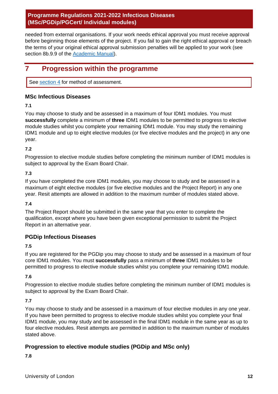needed from external organisations. If your work needs ethical approval you must receive approval before beginning those elements of the project. If you fail to gain the right ethical approval or breach the terms of your original ethical approval submission penalties will be applied to your work (see section 8b.9.9 of the [Academic Manual\)](https://www.lshtm.ac.uk/aboutus/organisation/academic-quality-and-standards/academic-regulations).

## <span id="page-12-0"></span>**7 Progression within the programme**

See [section 4](#page-8-0) for method of assessment.

## **MSc Infectious Diseases**

**7.1**

You may choose to study and be assessed in a maximum of four IDM1 modules. You must **successfully** complete a minimum of **three** IDM1 modules to be permitted to progress to elective module studies whilst you complete your remaining IDM1 module. You may study the remaining IDM1 module and up to eight elective modules (or five elective modules and the project) in any one year.

## **7.2**

Progression to elective module studies before completing the minimum number of IDM1 modules is subject to approval by the Exam Board Chair.

## **7.3**

If you have completed the core IDM1 modules, you may choose to study and be assessed in a maximum of eight elective modules (or five elective modules and the Project Report) in any one year. Resit attempts are allowed in addition to the maximum number of modules stated above.

## **7.4**

The Project Report should be submitted in the same year that you enter to complete the qualification, except where you have been given exceptional permission to submit the Project Report in an alternative year.

## **PGDip Infectious Diseases**

**7.5**

If you are registered for the PGDip you may choose to study and be assessed in a maximum of four core IDM1 modules. You must **successfully** pass a minimum of **three** IDM1 modules to be permitted to progress to elective module studies whilst you complete your remaining IDM1 module.

**7.6**

Progression to elective module studies before completing the minimum number of IDM1 modules is subject to approval by the Exam Board Chair.

## **7.7**

You may choose to study and be assessed in a maximum of four elective modules in any one year. If you have been permitted to progress to elective module studies whilst you complete your final IDM1 module, you may study and be assessed in the final IDM1 module in the same year as up to four elective modules. Resit attempts are permitted in addition to the maximum number of modules stated above.

## **Progression to elective module studies (PGDip and MSc only)**

**7.8**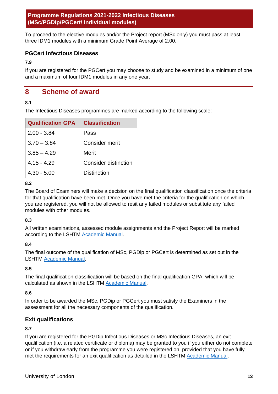To proceed to the elective modules and/or the Project report (MSc only) you must pass at least three IDM1 modules with a minimum Grade Point Average of 2.00.

## **PGCert Infectious Diseases**

**7.9**

If you are registered for the PGCert you may choose to study and be examined in a minimum of one and a maximum of four IDM1 modules in any one year.

## <span id="page-13-0"></span>**8 Scheme of award**

## **8.1**

The Infectious Diseases programmes are marked according to the following scale:

| <b>Qualification GPA</b> | <b>Classification</b>       |
|--------------------------|-----------------------------|
| $2.00 - 3.84$            | Pass                        |
| $3.70 - 3.84$            | Consider merit              |
| $3.85 - 4.29$            | Merit                       |
| $4.15 - 4.29$            | <b>Consider distinction</b> |
| $4.30 - 5.00$            | <b>Distinction</b>          |

## **8.2**

The Board of Examiners will make a decision on the final qualification classification once the criteria for that qualification have been met. Once you have met the criteria for the qualification on which you are registered, you will not be allowed to resit any failed modules or substitute any failed modules with other modules.

## **8.3**

All written examinations, assessed module assignments and the Project Report will be marked according to the LSHTM [Academic Manual.](https://www.lshtm.ac.uk/aboutus/organisation/academic-quality-and-standards/academic-regulations)

## **8.4**

The final outcome of the qualification of MSc, PGDip or PGCert is determined as set out in the LSHTM [Academic Manual.](https://www.lshtm.ac.uk/aboutus/organisation/academic-quality-and-standards/academic-regulations)

## **8.5**

The final qualification classification will be based on the final qualification GPA, which will be calculated as shown in the LSHTM [Academic Manual.](https://www.lshtm.ac.uk/aboutus/organisation/academic-quality-and-standards/academic-regulations)

## **8.6**

In order to be awarded the MSc, PGDip or PGCert you must satisfy the Examiners in the assessment for all the necessary components of the qualification.

## **Exit qualifications**

## **8.7**

If you are registered for the PGDip Infectious Diseases or MSc Infectious Diseases, an exit qualification (i.e. a related certificate or diploma) may be granted to you if you either do not complete or if you withdraw early from the programme you were registered on, provided that you have fully met the requirements for an exit qualification as detailed in the LSHTM [Academic Manual.](https://www.lshtm.ac.uk/aboutus/organisation/academic-quality-and-standards/academic-regulations)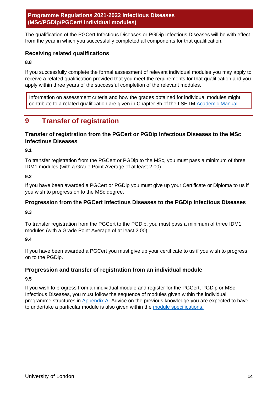The qualification of the PGCert Infectious Diseases or PGDip Infectious Diseases will be with effect from the year in which you successfully completed all components for that qualification.

## **Receiving related qualifications**

## **8.8**

If you successfully complete the formal assessment of relevant individual modules you may apply to receive a related qualification provided that you meet the requirements for that qualification and you apply within three years of the successful completion of the relevant modules.

Information on assessment criteria and how the grades obtained for individual modules might contribute to a related qualification are given in Chapter 8b of the LSHTM [Academic Manual.](https://www.lshtm.ac.uk/aboutus/organisation/academic-quality-and-standards/academic-regulations)

## <span id="page-14-0"></span>**9 Transfer of registration**

## **Transfer of registration from the PGCert or PGDip Infectious Diseases to the MSc Infectious Diseases**

**9.1**

To transfer registration from the PGCert or PGDip to the MSc, you must pass a minimum of three IDM1 modules (with a Grade Point Average of at least 2.00).

## **9.2**

If you have been awarded a PGCert or PGDip you must give up your Certificate or Diploma to us if you wish to progress on to the MSc degree.

## **Progression from the PGCert Infectious Diseases to the PGDip Infectious Diseases**

**9.3**

To transfer registration from the PGCert to the PGDip, you must pass a minimum of three IDM1 modules (with a Grade Point Average of at least 2.00).

## **9.4**

If you have been awarded a PGCert you must give up your certificate to us if you wish to progress on to the PGDip.

## **Progression and transfer of registration from an individual module**

## **9.5**

If you wish to progress from an individual module and register for the PGCert, PGDip or MSc Infectious Diseases, you must follow the sequence of modules given within the individual programme structures in [Appendix A.](#page-15-0) Advice on the previous knowledge you are expected to have to undertake a particular module is also given within the [module specifications.](https://www.lshtm.ac.uk/study/courses/short-courses/modules-dl#modules)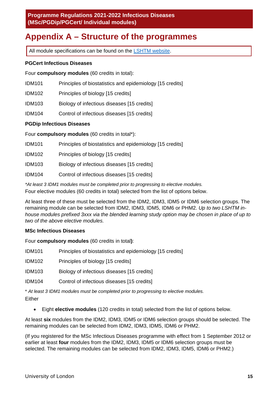## <span id="page-15-0"></span>**Appendix A – Structure of the programmes**

All module specifications can be found on the [LSHTM website.](https://www.lshtm.ac.uk/study/courses/short-courses/modules-dl#modules)

## **PGCert Infectious Diseases**

Four **compulsory modules** (60 credits in total):

- IDM101 Principles of biostatistics and epidemiology [15 credits]
- IDM102 Principles of biology [15 credits]
- IDM103 Biology of infectious diseases [15 credits]
- IDM104 Control of infectious diseases [15 credits]

## **PGDip Infectious Diseases**

Four **compulsory modules** (60 credits in total\*):

- IDM101 Principles of biostatistics and epidemiology [15 credits]
- IDM102 Principles of biology [15 credits]
- IDM103 Biology of infectious diseases [15 credits]
- IDM104 Control of infectious diseases [15 credits]

*\*At least 3 IDM1 modules must be completed prior to progressing to elective modules.*

Four elective modules (60 credits in total) selected from the list of options below.

At least three of these must be selected from the IDM2, IDM3, IDM5 or IDM6 selection groups. The remaining module can be selected from IDM2, IDM3, IDM5, IDM6 or PHM2. *Up to two LSHTM inhouse modules prefixed 3xxx via the blended learning study option may be chosen in place of up to two of the above elective modules.*

## **MSc Infectious Diseases**

Four **compulsory modules** (60 credits in total**)**:

IDM101 Principles of biostatistics and epidemiology [15 credits]

IDM102 Principles of biology [15 credits]

IDM103 Biology of infectious diseases [15 credits]

IDM104 Control of infectious diseases [15 credits]

\* *At least 3 IDM1 modules must be completed prior to progressing to elective modules.*

Either

• Eight **elective modules** (120 credits in total) selected from the list of options below.

At least **six** modules from the IDM2, IDM3, IDM5 or IDM6 selection groups should be selected. The remaining modules can be selected from IDM2, IDM3, IDM5, IDM6 or PHM2.

(If you registered for the MSc Infectious Diseases programme with effect from 1 September 2012 or earlier at least **four** modules from the IDM2, IDM3, IDM5 or IDM6 selection groups must be selected. The remaining modules can be selected from IDM2, IDM3, IDM5, IDM6 or PHM2.)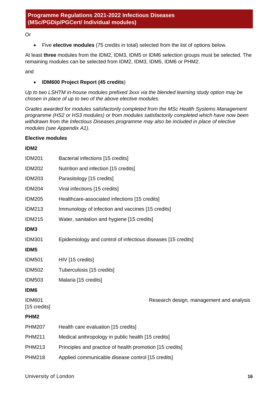Or

• Five **elective modules** (75 credits in total) selected from the list of options below.

At least **three** modules from the IDM2, IDM3, IDM5 or IDM6 selection groups must be selected. The remaining modules can be selected from IDM2, IDM3, IDM5, IDM6 or PHM2.

and

## • **IDM600 Project Report (45 credits**)

*Up to two LSHTM in-house modules prefixed 3xxx via the blended learning study option may be chosen in place of up to two of the above elective modules.*

*Grades awarded for modules satisfactorily completed from the MSc Health Systems Management programme (HS2 or HS3 modules) or from modules satisfactorily completed which have now been withdrawn from the Infectious Diseases programme may also be included in place of elective modules (see Appendix A1).* 

#### **Elective modules**

#### **IDM2**

| <b>IDM201</b>                 | Bacterial infections [15 credits]                            |
|-------------------------------|--------------------------------------------------------------|
| <b>IDM202</b>                 | Nutrition and infection [15 credits]                         |
| <b>IDM203</b>                 | Parasitology [15 credits]                                    |
| <b>IDM204</b>                 | Viral infections [15 credits]                                |
| <b>IDM205</b>                 | Healthcare-associated infections [15 credits]                |
| <b>IDM213</b>                 | Immunology of infection and vaccines [15 credits]            |
| <b>IDM215</b>                 | Water, sanitation and hygiene [15 credits]                   |
| IDM3                          |                                                              |
| <b>IDM301</b>                 | Epidemiology and control of infectious diseases [15 credits] |
| IDM <sub>5</sub>              |                                                              |
| <b>IDM501</b>                 | HIV [15 credits]                                             |
| <b>IDM502</b>                 | Tuberculosis [15 credits]                                    |
| <b>IDM503</b>                 | Malaria [15 credits]                                         |
| IDM6                          |                                                              |
| <b>IDM601</b><br>[15 credits] | Research design, management and analysis                     |
| PHM <sub>2</sub>              |                                                              |
| <b>PHM207</b>                 | Health care evaluation [15 credits]                          |
| <b>PHM211</b>                 | Medical anthropology in public health [15 credits]           |
| <b>PHM213</b>                 | Principles and practice of health promotion [15 credits]     |
| <b>PHM218</b>                 | Applied communicable disease control [15 credits]            |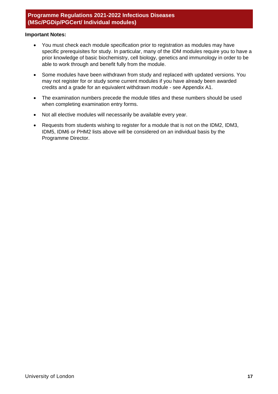#### **Important Notes:**

- You must check each module specification prior to registration as modules may have specific prerequisites for study. In particular, many of the IDM modules require you to have a prior knowledge of basic biochemistry, cell biology, genetics and immunology in order to be able to work through and benefit fully from the module.
- Some modules have been withdrawn from study and replaced with updated versions. You may not register for or study some current modules if you have already been awarded credits and a grade for an equivalent withdrawn module - see Appendix A1.
- The examination numbers precede the module titles and these numbers should be used when completing examination entry forms.
- Not all elective modules will necessarily be available every year.
- Requests from students wishing to register for a module that is not on the IDM2, IDM3, IDM5, IDM6 or PHM2 lists above will be considered on an individual basis by the Programme Director.